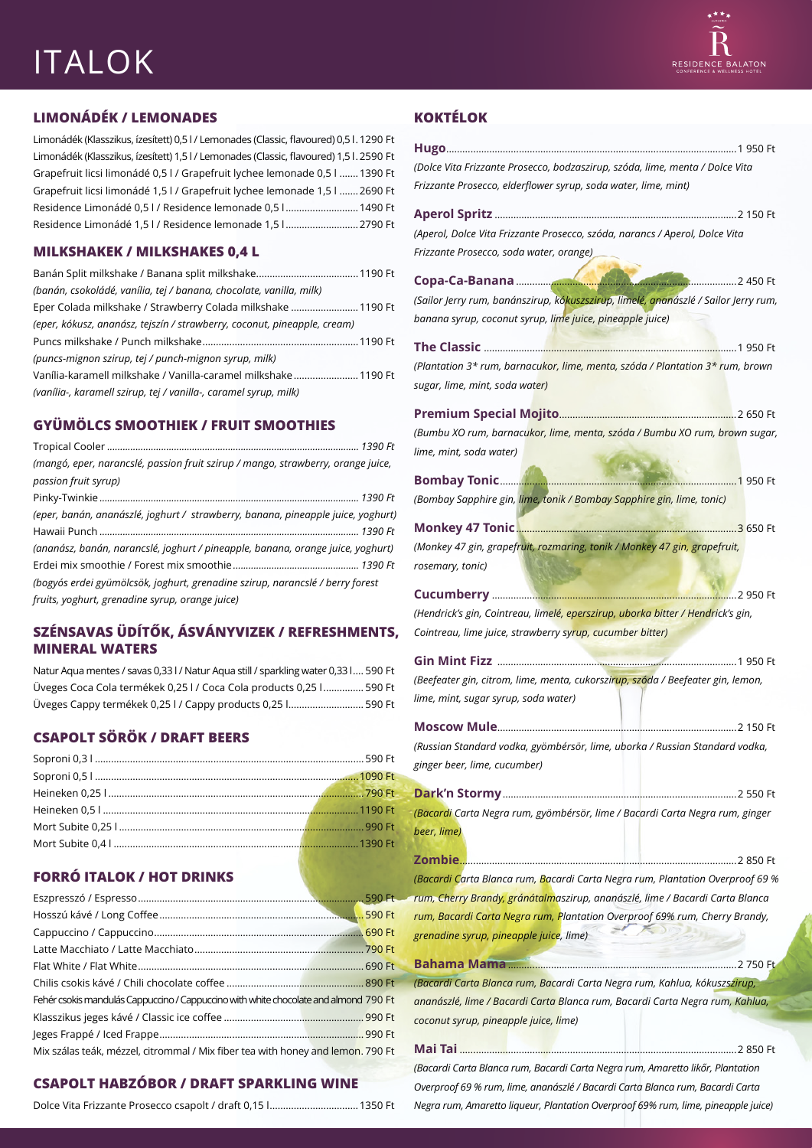## ITALOK

#### **LIMONÁDÉK / LEMONADES**

Limonádék (Klasszikus, ízesített) 0,5 l / Lemonades (Classic, flavoured) 0,5 l.1290 Ft Limonádék (Klasszikus, ízesített) 1,5 l / Lemonades (Classic, flavoured) 1,5 l.2590 Ft Grapefruit licsi limonádé 0,5 l / Grapefruit lychee lemonade 0,5 l .......1390 Ft Grapefruit licsi limonádé 1,5 l / Grapefruit lychee lemonade 1,5 l .......2690 Ft Residence Limonádé 0,5 l / Residence lemonade 0,5 l ...........................1490 Ft Residence Limonádé 1,5 l / Residence lemonade 1,5 l ...........................2790 Ft

#### **MILKSHAKEK / MILKSHAKES 0,4 L**

| (banán, csokoládé, vanília, tej / banana, chocolate, vanilla, milk)      |  |
|--------------------------------------------------------------------------|--|
| Eper Colada milkshake / Strawberry Colada milkshake 1190 Ft              |  |
| (eper, kókusz, ananász, tejszín / strawberry, coconut, pineapple, cream) |  |
|                                                                          |  |
| (puncs-mignon szirup, tej / punch-mignon syrup, milk)                    |  |
| Vanília-karamell milkshake / Vanilla-caramel milkshake 1190 Ft           |  |
| (vanília-, karamell szirup, tej / vanilla-, caramel syrup, milk)         |  |

#### **GYÜMÖLCS SMOOTHIEK / FRUIT SMOOTHIES**

| (mangó, eper, narancslé, passion fruit szirup / mango, strawberry, orange juice, |  |
|----------------------------------------------------------------------------------|--|
| passion fruit syrup)                                                             |  |
|                                                                                  |  |
| (eper, banán, ananászlé, joghurt / strawberry, banana, pineapple juice, yoghurt) |  |
|                                                                                  |  |
| (ananász, banán, narancslé, joghurt / pineapple, banana, orange juice, yoghurt)  |  |
|                                                                                  |  |
| (bogyós erdei gyümölcsök, joghurt, grenadine szirup, narancslé / berry forest    |  |
| fruits, yoghurt, grenadine syrup, orange juice)                                  |  |
|                                                                                  |  |

#### **SZÉNSAVAS ÜDÍTŐK, ÁSVÁNYVIZEK / REFRESHMENTS, MINERAL WATERS**

| Natur Aqua mentes / savas 0,33 l / Natur Aqua still / sparkling water 0,33 l 590 Ft |  |
|-------------------------------------------------------------------------------------|--|
| Üveges Coca Cola termékek 0,25 l / Coca Cola products 0,25 l 590 Ft                 |  |
| Üveges Cappy termékek 0,25 l / Cappy products 0,25 l 590 Ft                         |  |

#### **CSAPOLT SÖRÖK / DRAFT BEERS**

#### **FORRÓ ITALOK / HOT DRINKS**

| Fehér csokis mandulás Cappuccino / Cappuccino with white chocolate and almond 790 Ft |  |
|--------------------------------------------------------------------------------------|--|
|                                                                                      |  |
|                                                                                      |  |
| Mix szálas teák, mézzel, citrommal / Mix fiber tea with honey and lemon. 790 Ft      |  |

#### **CSAPOLT HABZÓBOR / DRAFT SPARKLING WINE**

|--|--|--|--|

#### **KOKTÉLOK**

| (Dolce Vita Frizzante Prosecco, bodzaszirup, szóda, lime, menta / Dolce Vita        |
|-------------------------------------------------------------------------------------|
| Frizzante Prosecco, elderflower syrup, soda water, lime, mint)                      |
|                                                                                     |
|                                                                                     |
| (Aperol, Dolce Vita Frizzante Prosecco, szóda, narancs / Aperol, Dolce Vita         |
| Frizzante Prosecco, soda water, orange)                                             |
|                                                                                     |
|                                                                                     |
| (Sailor Jerry rum, banánszirup, kókuszszirup, limelé, ananászlé / Sailor Jerry rum, |
| banana syrup, coconut syrup, lime juice, pineapple juice)                           |
|                                                                                     |
| (Plantation 3* rum, barnacukor, lime, menta, szóda / Plantation 3* rum, brown       |
|                                                                                     |
| sugar, lime, mint, soda water)                                                      |
|                                                                                     |
| (Bumbu XO rum, barnacukor, lime, menta, szóda / Bumbu XO rum, brown sugar,          |
| lime, mint, soda water)                                                             |
|                                                                                     |
|                                                                                     |
| (Bombay Sapphire gin, lime, tonik / Bombay Sapphire gin, lime, tonic)               |
|                                                                                     |
|                                                                                     |
| (Monkey 47 gin, grapefruit, rozmaring, tonik / Monkey 47 gin, grapefruit,           |
| rosemary, tonic)                                                                    |
|                                                                                     |
| (Hendrick's gin, Cointreau, limelé, eperszirup, uborka bitter / Hendrick's gin,     |
|                                                                                     |
|                                                                                     |
| Cointreau, lime juice, strawberry syrup, cucumber bitter)                           |
|                                                                                     |
| (Beefeater gin, citrom, lime, menta, cukorszirup, szóda / Beefeater gin, lemon,     |
|                                                                                     |
| lime, mint, sugar syrup, soda water)                                                |
|                                                                                     |
| (Russian Standard vodka, gyömbérsör, lime, uborka / Russian Standard vodka,         |
| ginger beer, lime, cucumber)                                                        |
|                                                                                     |
|                                                                                     |
| (Bacardi Carta Negra rum, gyömbérsör, lime / Bacardi Carta Negra rum, ginger        |
| beer, lime)                                                                         |
|                                                                                     |
|                                                                                     |
| (Bacardi Carta Blanca rum, Bacardi Carta Negra rum, Plantation Overproof 69 %       |
| rum, Cherry Brandy, gránátalmaszirup, ananászlé, lime / Bacardi Carta Blanca        |
| rum, Bacardi Carta Negra rum, Plantation Overproof 69% rum, Cherry Brandy,          |
| grenadine syrup, pineapple juice, lime)                                             |
|                                                                                     |
|                                                                                     |
| (Bacardi Carta Blanca rum, Bacardi Carta Negra rum, Kahlua, kókuszszirup,           |
| ananászlé, lime / Bacardi Carta Blanca rum, Bacardi Carta Negra rum, Kahlua,        |
| coconut syrup, pineapple juice, lime)                                               |
|                                                                                     |

*Overproof 69 % rum, lime, ananászlé / Bacardi Carta Blanca rum, Bacardi Carta Negra rum, Amaretto liqueur, Plantation Overproof 69% rum, lime, pineapple juice)*